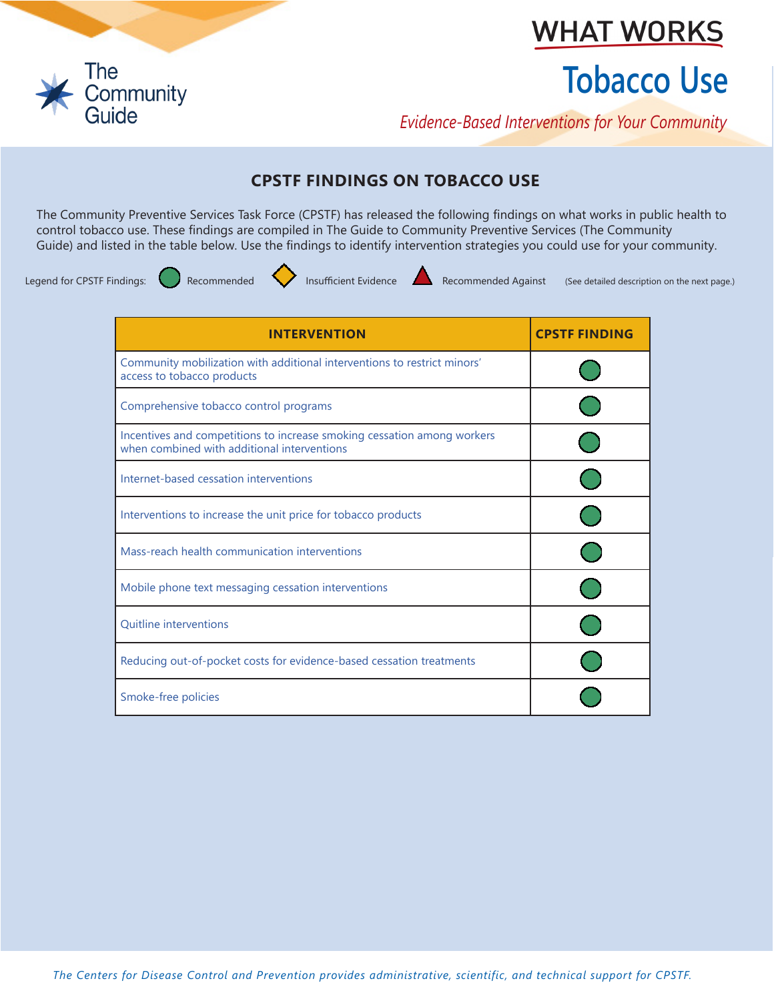

## **WHAT WORKS**

# **Tobacco Use**

*Evidence-Based Interventions for Your Community*

### **CPSTF FINDINGS ON TOBACCO USE**

The Community Preventive Services Task Force (CPSTF) has released the following findings on what works in public health to control tobacco use. These findings are compiled in The Guide to Community Preventive Services (The Community Guide) and listed in the table below. Use the findings to identify intervention strategies you could use for your community.



Legend for CPSTF Findings: Recommended **Insufficient Evidence** Recommended Against (See detailed description on the next page.)

| <b>INTERVENTION</b>                                                                                                    | <b>CPSTF FINDING</b> |
|------------------------------------------------------------------------------------------------------------------------|----------------------|
| Community mobilization with additional interventions to restrict minors'<br>access to tobacco products                 |                      |
| Comprehensive tobacco control programs                                                                                 |                      |
| Incentives and competitions to increase smoking cessation among workers<br>when combined with additional interventions |                      |
| Internet-based cessation interventions                                                                                 |                      |
| Interventions to increase the unit price for tobacco products                                                          |                      |
| Mass-reach health communication interventions                                                                          |                      |
| Mobile phone text messaging cessation interventions                                                                    |                      |
| <b>Quitline interventions</b>                                                                                          |                      |
| Reducing out-of-pocket costs for evidence-based cessation treatments                                                   |                      |
| Smoke-free policies                                                                                                    |                      |